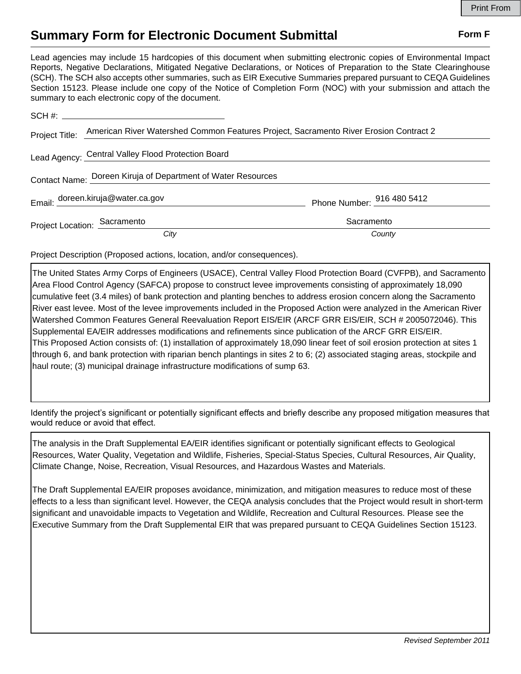## **Summary Form for Electronic Document Submittal Form F Form F**

Lead agencies may include 15 hardcopies of this document when submitting electronic copies of Environmental Impact Reports, Negative Declarations, Mitigated Negative Declarations, or Notices of Preparation to the State Clearinghouse (SCH). The SCH also accepts other summaries, such as EIR Executive Summaries prepared pursuant to CEQA Guidelines Section 15123. Please include one copy of the Notice of Completion Form (NOC) with your submission and attach the summary to each electronic copy of the document.

|                                                              | Project Title: American River Watershed Common Features Project, Sacramento River Erosion Contract 2 |                            |
|--------------------------------------------------------------|------------------------------------------------------------------------------------------------------|----------------------------|
|                                                              | Lead Agency: Central Valley Flood Protection Board                                                   |                            |
| Contact Name: Doreen Kiruja of Department of Water Resources |                                                                                                      |                            |
|                                                              | Email: doreen.kiruja@water.ca.gov                                                                    | Phone Number: 916 480 5412 |
| Project Location: Sacramento                                 |                                                                                                      | Sacramento                 |
|                                                              | City                                                                                                 | County                     |

Project Description (Proposed actions, location, and/or consequences).

The United States Army Corps of Engineers (USACE), Central Valley Flood Protection Board (CVFPB), and Sacramento Area Flood Control Agency (SAFCA) propose to construct levee improvements consisting of approximately 18,090 cumulative feet (3.4 miles) of bank protection and planting benches to address erosion concern along the Sacramento River east levee. Most of the levee improvements included in the Proposed Action were analyzed in the American River Watershed Common Features General Reevaluation Report EIS/EIR (ARCF GRR EIS/EIR, SCH # 2005072046). This Supplemental EA/EIR addresses modifications and refinements since publication of the ARCF GRR EIS/EIR. This Proposed Action consists of: (1) installation of approximately 18,090 linear feet of soil erosion protection at sites 1 through 6, and bank protection with riparian bench plantings in sites 2 to 6; (2) associated staging areas, stockpile and haul route; (3) municipal drainage infrastructure modifications of sump 63.

Identify the project's significant or potentially significant effects and briefly describe any proposed mitigation measures that would reduce or avoid that effect.

The analysis in the Draft Supplemental EA/EIR identifies significant or potentially significant effects to Geological Resources, Water Quality, Vegetation and Wildlife, Fisheries, Special-Status Species, Cultural Resources, Air Quality, Climate Change, Noise, Recreation, Visual Resources, and Hazardous Wastes and Materials.

The Draft Supplemental EA/EIR proposes avoidance, minimization, and mitigation measures to reduce most of these effects to a less than significant level. However, the CEQA analysis concludes that the Project would result in short-term significant and unavoidable impacts to Vegetation and Wildlife, Recreation and Cultural Resources. Please see the Executive Summary from the Draft Supplemental EIR that was prepared pursuant to CEQA Guidelines Section 15123.